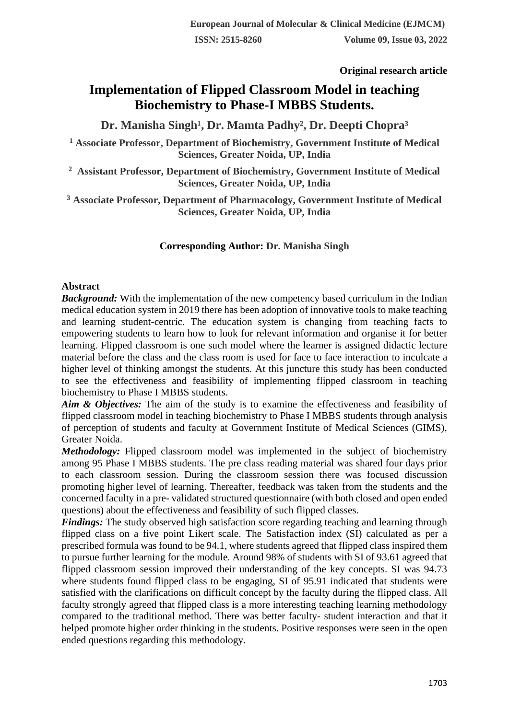**Original research article** 

# **Implementation of Flipped Classroom Model in teaching Biochemistry to Phase-I MBBS Students.**

Dr. Manisha Singh<sup>1</sup>, Dr. Mamta Padhy<sup>2</sup>, Dr. Deepti Chopra<sup>3</sup>

**<sup>1</sup> Associate Professor, Department of Biochemistry, Government Institute of Medical Sciences, Greater Noida, UP, India**

**2 Assistant Professor, Department of Biochemistry, Government Institute of Medical Sciences, Greater Noida, UP, India**

**<sup>3</sup> Associate Professor, Department of Pharmacology, Government Institute of Medical Sciences, Greater Noida, UP, India**

## **Corresponding Author: Dr. Manisha Singh**

## **Abstract**

*Background:* With the implementation of the new competency based curriculum in the Indian medical education system in 2019 there has been adoption of innovative tools to make teaching and learning student-centric. The education system is changing from teaching facts to empowering students to learn how to look for relevant information and organise it for better learning. Flipped classroom is one such model where the learner is assigned didactic lecture material before the class and the class room is used for face to face interaction to inculcate a higher level of thinking amongst the students. At this juncture this study has been conducted to see the effectiveness and feasibility of implementing flipped classroom in teaching biochemistry to Phase I MBBS students.

*Aim & Objectives:* The aim of the study is to examine the effectiveness and feasibility of flipped classroom model in teaching biochemistry to Phase I MBBS students through analysis of perception of students and faculty at Government Institute of Medical Sciences (GIMS), Greater Noida.

*Methodology:* Flipped classroom model was implemented in the subject of biochemistry among 95 Phase I MBBS students. The pre class reading material was shared four days prior to each classroom session. During the classroom session there was focused discussion promoting higher level of learning. Thereafter, feedback was taken from the students and the concerned faculty in a pre- validated structured questionnaire (with both closed and open ended questions) about the effectiveness and feasibility of such flipped classes.

*Findings:* The study observed high satisfaction score regarding teaching and learning through flipped class on a five point Likert scale. The Satisfaction index (SI) calculated as per a prescribed formula was found to be 94.1, where students agreed that flipped class inspired them to pursue further learning for the module. Around 98% of students with SI of 93.61 agreed that flipped classroom session improved their understanding of the key concepts. SI was 94.73 where students found flipped class to be engaging, SI of 95.91 indicated that students were satisfied with the clarifications on difficult concept by the faculty during the flipped class. All faculty strongly agreed that flipped class is a more interesting teaching learning methodology compared to the traditional method. There was better faculty- student interaction and that it helped promote higher order thinking in the students. Positive responses were seen in the open ended questions regarding this methodology.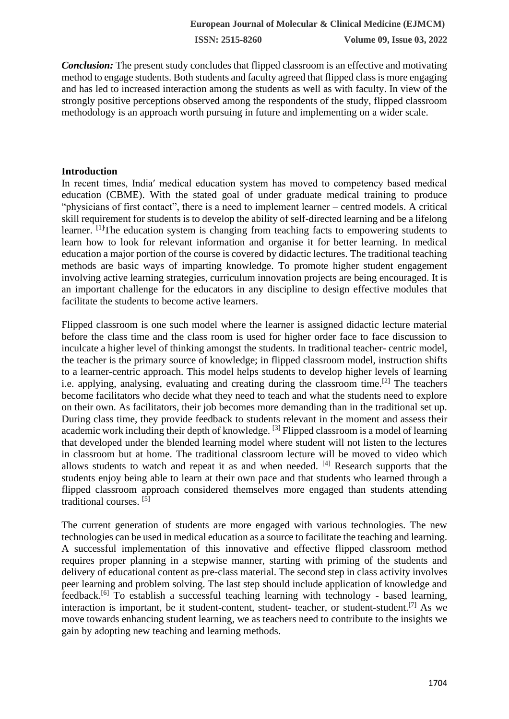**ISSN: 2515-8260 Volume 09, Issue 03, 2022**

*Conclusion:* The present study concludes that flipped classroom is an effective and motivating method to engage students. Both students and faculty agreed that flipped class is more engaging and has led to increased interaction among the students as well as with faculty. In view of the strongly positive perceptions observed among the respondents of the study, flipped classroom methodology is an approach worth pursuing in future and implementing on a wider scale.

#### **Introduction**

In recent times, India′ medical education system has moved to competency based medical education (CBME). With the stated goal of under graduate medical training to produce "physicians of first contact", there is a need to implement learner – centred models. A critical skill requirement for students is to develop the ability of self-directed learning and be a lifelong learner. <sup>[1]</sup>The education system is changing from teaching facts to empowering students to learn how to look for relevant information and organise it for better learning. In medical education a major portion of the course is covered by didactic lectures. The traditional teaching methods are basic ways of imparting knowledge. To promote higher student engagement involving active learning strategies, curriculum innovation projects are being encouraged. It is an important challenge for the educators in any discipline to design effective modules that facilitate the students to become active learners.

Flipped classroom is one such model where the learner is assigned didactic lecture material before the class time and the class room is used for higher order face to face discussion to inculcate a higher level of thinking amongst the students. In traditional teacher- centric model, the teacher is the primary source of knowledge; in flipped classroom model, instruction shifts to a learner-centric approach. This model helps students to develop higher levels of learning i.e. applying, analysing, evaluating and creating during the classroom time.<sup>[2]</sup> The teachers become facilitators who decide what they need to teach and what the students need to explore on their own. As facilitators, their job becomes more demanding than in the traditional set up. During class time, they provide feedback to students relevant in the moment and assess their academic work including their depth of knowledge. <sup>[3]</sup> Flipped classroom is a model of learning that developed under the blended learning model where student will not listen to the lectures in classroom but at home. The traditional classroom lecture will be moved to video which allows students to watch and repeat it as and when needed. [4] Research supports that the students enjoy being able to learn at their own pace and that students who learned through a flipped classroom approach considered themselves more engaged than students attending traditional courses. [5]

The current generation of students are more engaged with various technologies. The new technologies can be used in medical education as a source to facilitate the teaching and learning. A successful implementation of this innovative and effective flipped classroom method requires proper planning in a stepwise manner, starting with priming of the students and delivery of educational content as pre-class material. The second step in class activity involves peer learning and problem solving. The last step should include application of knowledge and feedback.[6] To establish a successful teaching learning with technology - based learning, interaction is important, be it student-content, student- teacher, or student-student.<sup>[7]</sup> As we move towards enhancing student learning, we as teachers need to contribute to the insights we gain by adopting new teaching and learning methods.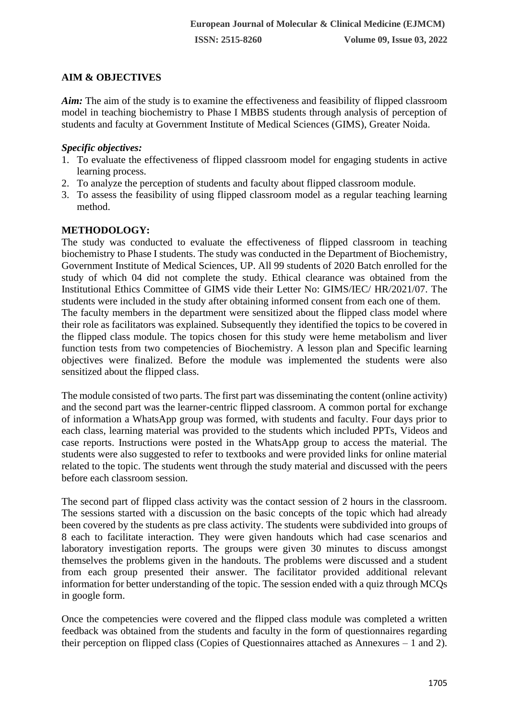## **AIM & OBJECTIVES**

*Aim:* The aim of the study is to examine the effectiveness and feasibility of flipped classroom model in teaching biochemistry to Phase I MBBS students through analysis of perception of students and faculty at Government Institute of Medical Sciences (GIMS), Greater Noida.

## *Specific objectives:*

- 1. To evaluate the effectiveness of flipped classroom model for engaging students in active learning process.
- 2. To analyze the perception of students and faculty about flipped classroom module.
- 3. To assess the feasibility of using flipped classroom model as a regular teaching learning method.

## **METHODOLOGY:**

The study was conducted to evaluate the effectiveness of flipped classroom in teaching biochemistry to Phase I students. The study was conducted in the Department of Biochemistry, Government Institute of Medical Sciences, UP. All 99 students of 2020 Batch enrolled for the study of which 04 did not complete the study. Ethical clearance was obtained from the Institutional Ethics Committee of GIMS vide their Letter No: GIMS/IEC/ HR/2021/07. The students were included in the study after obtaining informed consent from each one of them. The faculty members in the department were sensitized about the flipped class model where their role as facilitators was explained. Subsequently they identified the topics to be covered in the flipped class module. The topics chosen for this study were heme metabolism and liver function tests from two competencies of Biochemistry. A lesson plan and Specific learning objectives were finalized. Before the module was implemented the students were also sensitized about the flipped class.

The module consisted of two parts. The first part was disseminating the content (online activity) and the second part was the learner-centric flipped classroom. A common portal for exchange of information a WhatsApp group was formed, with students and faculty. Four days prior to each class, learning material was provided to the students which included PPTs, Videos and case reports. Instructions were posted in the WhatsApp group to access the material. The students were also suggested to refer to textbooks and were provided links for online material related to the topic. The students went through the study material and discussed with the peers before each classroom session.

The second part of flipped class activity was the contact session of 2 hours in the classroom. The sessions started with a discussion on the basic concepts of the topic which had already been covered by the students as pre class activity. The students were subdivided into groups of 8 each to facilitate interaction. They were given handouts which had case scenarios and laboratory investigation reports. The groups were given 30 minutes to discuss amongst themselves the problems given in the handouts. The problems were discussed and a student from each group presented their answer. The facilitator provided additional relevant information for better understanding of the topic. The session ended with a quiz through MCQs in google form.

Once the competencies were covered and the flipped class module was completed a written feedback was obtained from the students and faculty in the form of questionnaires regarding their perception on flipped class (Copies of Questionnaires attached as Annexures – 1 and 2).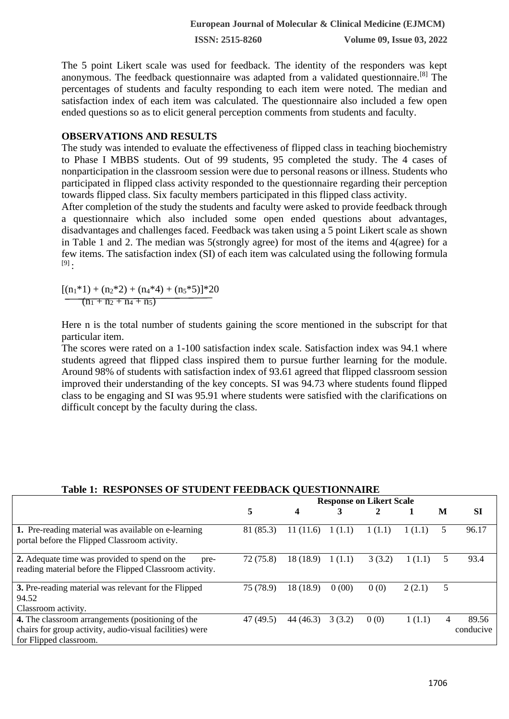**ISSN: 2515-8260 Volume 09, Issue 03, 2022**

The 5 point Likert scale was used for feedback. The identity of the responders was kept anonymous. The feedback questionnaire was adapted from a validated questionnaire.[8] The percentages of students and faculty responding to each item were noted. The median and satisfaction index of each item was calculated. The questionnaire also included a few open ended questions so as to elicit general perception comments from students and faculty.

#### **OBSERVATIONS AND RESULTS**

The study was intended to evaluate the effectiveness of flipped class in teaching biochemistry to Phase I MBBS students. Out of 99 students, 95 completed the study. The 4 cases of nonparticipation in the classroom session were due to personal reasons or illness. Students who participated in flipped class activity responded to the questionnaire regarding their perception towards flipped class. Six faculty members participated in this flipped class activity.

After completion of the study the students and faculty were asked to provide feedback through a questionnaire which also included some open ended questions about advantages, disadvantages and challenges faced. Feedback was taken using a 5 point Likert scale as shown in Table 1 and 2. The median was 5(strongly agree) for most of the items and 4(agree) for a few items. The satisfaction index (SI) of each item was calculated using the following formula  $[9]$ .

 $[(n_1*1) + (n_2*2) + (n_4*4) + (n_5*5)]*20$  $(n_1 + n_2 + n_4 + n_5)$ 

Here n is the total number of students gaining the score mentioned in the subscript for that particular item.

The scores were rated on a 1-100 satisfaction index scale. Satisfaction index was 94.1 where students agreed that flipped class inspired them to pursue further learning for the module. Around 98% of students with satisfaction index of 93.61 agreed that flipped classroom session improved their understanding of the key concepts. SI was 94.73 where students found flipped class to be engaging and SI was 95.91 where students were satisfied with the clarifications on difficult concept by the faculty during the class.

## **Table 1: RESPONSES OF STUDENT FEEDBACK QUESTIONNAIRE**

|                                                                                                                                         | <b>Response on Likert Scale</b> |           |        |        |        |   |                    |
|-----------------------------------------------------------------------------------------------------------------------------------------|---------------------------------|-----------|--------|--------|--------|---|--------------------|
|                                                                                                                                         | 5                               | 4         |        | 2      |        | M | <b>SI</b>          |
| 1. Pre-reading material was available on e-learning<br>portal before the Flipped Classroom activity.                                    | 81 (85.3)                       | 11(11.6)  | 1(1.1) | 1(1.1) | 1(1.1) | 5 | 96.17              |
| 2. Adequate time was provided to spend on the<br>pre-<br>reading material before the Flipped Classroom activity.                        | 72(75.8)                        | 18 (18.9) | 1(1.1) | 3(3.2) | 1(1.1) | 5 | 93.4               |
| 3. Pre-reading material was relevant for the Flipped<br>94.52<br>Classroom activity.                                                    | 75 (78.9)                       | 18 (18.9) | 0(00)  | 0(0)   | 2(2.1) | 5 |                    |
| 4. The classroom arrangements (positioning of the<br>chairs for group activity, audio-visual facilities) were<br>for Flipped classroom. | 47 (49.5)                       | 44 (46.3) | 3(3.2) | 0(0)   | 1(1.1) | 4 | 89.56<br>conducive |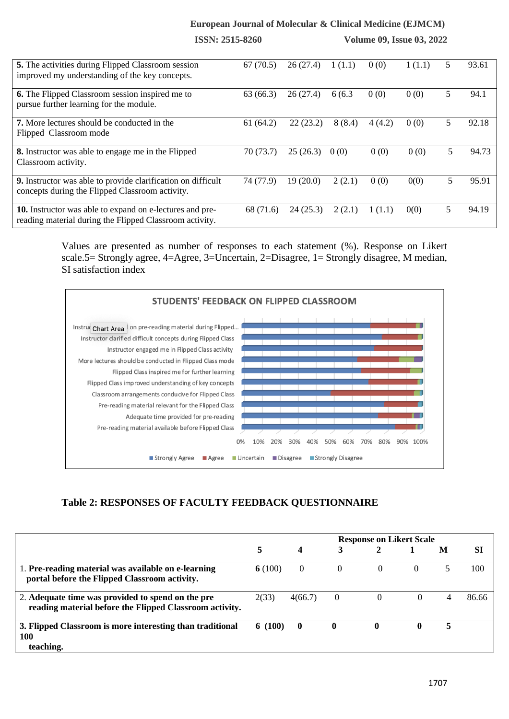#### **European Journal of Molecular & Clinical Medicine (EJMCM)**

|                                                                                                                     | <b>ISSN: 2515-8260</b> |          | <b>Volume 09, Issue 03, 2022</b> |        |        |   |       |
|---------------------------------------------------------------------------------------------------------------------|------------------------|----------|----------------------------------|--------|--------|---|-------|
| <b>5.</b> The activities during Flipped Classroom session<br>improved my understanding of the key concepts.         | 67(70.5)               | 26(27.4) | 1(1.1)                           | 0(0)   | 1(1.1) | 5 | 93.61 |
| <b>6.</b> The Flipped Classroom session inspired me to<br>pursue further learning for the module.                   | 63(66.3)               | 26(27.4) | 6(6.3)                           | 0(0)   | 0(0)   | 5 | 94.1  |
| <b>7.</b> More lectures should be conducted in the<br>Flipped Classroom mode                                        | 61(64.2)               | 22(23.2) | 8(8.4)                           | 4(4.2) | 0(0)   | 5 | 92.18 |
| 8. Instructor was able to engage me in the Flipped<br>Classroom activity.                                           | 70(73.7)               | 25(26.3) | 0(0)                             | 0(0)   | 0(0)   | 5 | 94.73 |
| 9. Instructor was able to provide clarification on difficult<br>concepts during the Flipped Classroom activity.     | 74 (77.9)              | 19(20.0) | 2(2.1)                           | 0(0)   | 0(0)   | 5 | 95.91 |
| 10. Instructor was able to expand on e-lectures and pre-<br>reading material during the Flipped Classroom activity. | 68 (71.6)              | 24(25.3) | 2(2.1)                           | 1(1.1) | 0(0)   | 5 | 94.19 |

Values are presented as number of responses to each statement (%). Response on Likert scale.5= Strongly agree, 4=Agree, 3=Uncertain, 2=Disagree, 1= Strongly disagree, M median, SI satisfaction index



#### **Table 2: RESPONSES OF FACULTY FEEDBACK QUESTIONNAIRE**

|                                                                                                              | <b>Response on Likert Scale</b> |          |              |          |          |   |           |  |
|--------------------------------------------------------------------------------------------------------------|---------------------------------|----------|--------------|----------|----------|---|-----------|--|
|                                                                                                              | 5                               | 4        |              |          |          | M | <b>SI</b> |  |
| 1. Pre-reading material was available on e-learning<br>portal before the Flipped Classroom activity.         | 6(100)                          | $\left($ | $\Omega$     | $\left($ | $\left($ |   | 100       |  |
| 2. Adequate time was provided to spend on the pre<br>reading material before the Flipped Classroom activity. | 2(33)                           | 4(66.7)  | $\theta$     |          |          | 4 | 86.66     |  |
| 3. Flipped Classroom is more interesting than traditional<br>100<br>teaching.                                | 6(100)                          | $\bf{0}$ | $\mathbf{0}$ | 0        |          |   |           |  |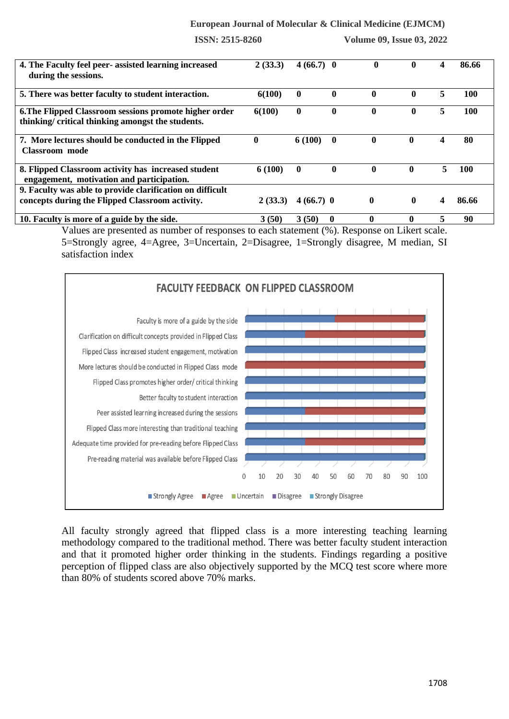#### **European Journal of Molecular & Clinical Medicine (EJMCM)**

**ISSN: 2515-8260 Volume 09, Issue 03, 2022**

| 4. The Faculty feel peer- assisted learning increased<br>during the sessions.                              | 2(33.3)  | $4(66.7)$ 0      |              | $\mathbf{0}$ | $\bf{0}$     | 4 | 86.66      |
|------------------------------------------------------------------------------------------------------------|----------|------------------|--------------|--------------|--------------|---|------------|
| 5. There was better faculty to student interaction.                                                        | 6(100)   | $\bf{0}$         | $\mathbf{0}$ | $\mathbf{0}$ | $\bf{0}$     | 5 | <b>100</b> |
| 6. The Flipped Classroom sessions promote higher order<br>thinking/critical thinking amongst the students. | 6(100)   | $\boldsymbol{0}$ | $\mathbf{0}$ | $\mathbf 0$  | $\mathbf{0}$ | 5 | <b>100</b> |
| 7. More lectures should be conducted in the Flipped<br><b>Classroom</b> mode                               | $\bf{0}$ | 6 (100)          | $\bf{0}$     | $\mathbf{0}$ | $\mathbf{0}$ | 4 | 80         |
| 8. Flipped Classroom activity has increased student<br>engagement, motivation and participation.           | 6(100)   | $\mathbf{0}$     | $\mathbf{0}$ | $\mathbf 0$  | $\mathbf{0}$ | 5 | 100        |
| 9. Faculty was able to provide clarification on difficult                                                  |          |                  |              |              |              |   |            |
| concepts during the Flipped Classroom activity.                                                            | 2(33.3)  | $4(66.7)$ 0      |              | $\mathbf{0}$ | $\mathbf{0}$ | 4 | 86.66      |
| 10. Faculty is more of a guide by the side.                                                                | 3(50)    | 3(50)            | 0            | 0            | 0            | 5 | 90         |

Values are presented as number of responses to each statement (%). Response on Likert scale. 5=Strongly agree, 4=Agree, 3=Uncertain, 2=Disagree, 1=Strongly disagree, M median, SI satisfaction index



All faculty strongly agreed that flipped class is a more interesting teaching learning methodology compared to the traditional method. There was better faculty student interaction and that it promoted higher order thinking in the students. Findings regarding a positive perception of flipped class are also objectively supported by the MCQ test score where more than 80% of students scored above 70% marks.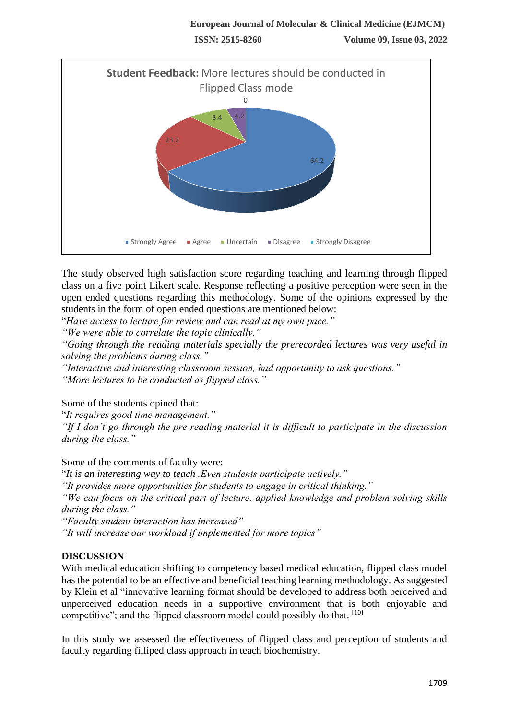

The study observed high satisfaction score regarding teaching and learning through flipped class on a five point Likert scale. Response reflecting a positive perception were seen in the open ended questions regarding this methodology. Some of the opinions expressed by the students in the form of open ended questions are mentioned below:

"*Have access to lecture for review and can read at my own pace."*

*"We were able to correlate the topic clinically."*

*"Going through the reading materials specially the prerecorded lectures was very useful in solving the problems during class."*

*"Interactive and interesting classroom session, had opportunity to ask questions."*

*"More lectures to be conducted as flipped class."*

Some of the students opined that:

"*It requires good time management."*

*"If I don't go through the pre reading material it is difficult to participate in the discussion during the class."*

Some of the comments of faculty were:

"*It is an interesting way to teach .Even students participate actively."*

*"It provides more opportunities for students to engage in critical thinking."*

*"We can focus on the critical part of lecture, applied knowledge and problem solving skills during the class."*

*"Faculty student interaction has increased"*

*"It will increase our workload if implemented for more topics"*

## **DISCUSSION**

With medical education shifting to competency based medical education, flipped class model has the potential to be an effective and beneficial teaching learning methodology. As suggested by Klein et al "innovative learning format should be developed to address both perceived and unperceived education needs in a supportive environment that is both enjoyable and competitive"; and the flipped classroom model could possibly do that. [10]

In this study we assessed the effectiveness of flipped class and perception of students and faculty regarding filliped class approach in teach biochemistry.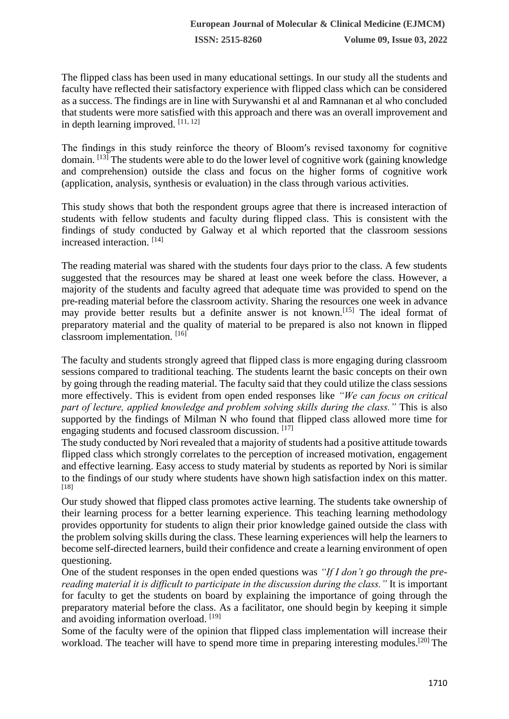The flipped class has been used in many educational settings. In our study all the students and faculty have reflected their satisfactory experience with flipped class which can be considered as a success. The findings are in line with Surywanshi et al and Ramnanan et al who concluded that students were more satisfied with this approach and there was an overall improvement and in depth learning improved. [11, 12]

The findings in this study reinforce the theory of Bloom′s revised taxonomy for cognitive domain.  $[13]$  The students were able to do the lower level of cognitive work (gaining knowledge and comprehension) outside the class and focus on the higher forms of cognitive work (application, analysis, synthesis or evaluation) in the class through various activities.

This study shows that both the respondent groups agree that there is increased interaction of students with fellow students and faculty during flipped class. This is consistent with the findings of study conducted by Galway et al which reported that the classroom sessions increased interaction. [14]

The reading material was shared with the students four days prior to the class. A few students suggested that the resources may be shared at least one week before the class. However, a majority of the students and faculty agreed that adequate time was provided to spend on the pre-reading material before the classroom activity. Sharing the resources one week in advance may provide better results but a definite answer is not known.<sup>[15]</sup> The ideal format of preparatory material and the quality of material to be prepared is also not known in flipped classroom implementation. [16]

The faculty and students strongly agreed that flipped class is more engaging during classroom sessions compared to traditional teaching. The students learnt the basic concepts on their own by going through the reading material. The faculty said that they could utilize the class sessions more effectively. This is evident from open ended responses like *"We can focus on critical part of lecture, applied knowledge and problem solving skills during the class."* This is also supported by the findings of Milman N who found that flipped class allowed more time for engaging students and focused classroom discussion. [17]

The study conducted by Nori revealed that a majority of students had a positive attitude towards flipped class which strongly correlates to the perception of increased motivation, engagement and effective learning. Easy access to study material by students as reported by Nori is similar to the findings of our study where students have shown high satisfaction index on this matter. [18]

Our study showed that flipped class promotes active learning. The students take ownership of their learning process for a better learning experience. This teaching learning methodology provides opportunity for students to align their prior knowledge gained outside the class with the problem solving skills during the class. These learning experiences will help the learners to become self-directed learners, build their confidence and create a learning environment of open questioning.

One of the student responses in the open ended questions was *"If I don't go through the prereading material it is difficult to participate in the discussion during the class."* It is important for faculty to get the students on board by explaining the importance of going through the preparatory material before the class. As a facilitator, one should begin by keeping it simple and avoiding information overload. [19]

Some of the faculty were of the opinion that flipped class implementation will increase their workload. The teacher will have to spend more time in preparing interesting modules.<sup>[20]</sup> The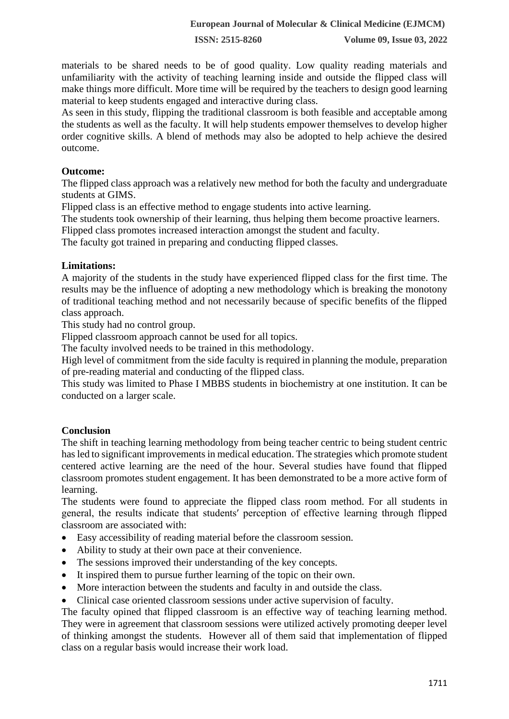materials to be shared needs to be of good quality. Low quality reading materials and unfamiliarity with the activity of teaching learning inside and outside the flipped class will make things more difficult. More time will be required by the teachers to design good learning material to keep students engaged and interactive during class.

As seen in this study, flipping the traditional classroom is both feasible and acceptable among the students as well as the faculty. It will help students empower themselves to develop higher order cognitive skills. A blend of methods may also be adopted to help achieve the desired outcome.

#### **Outcome:**

The flipped class approach was a relatively new method for both the faculty and undergraduate students at GIMS.

Flipped class is an effective method to engage students into active learning.

The students took ownership of their learning, thus helping them become proactive learners.

Flipped class promotes increased interaction amongst the student and faculty.

The faculty got trained in preparing and conducting flipped classes.

#### **Limitations:**

A majority of the students in the study have experienced flipped class for the first time. The results may be the influence of adopting a new methodology which is breaking the monotony of traditional teaching method and not necessarily because of specific benefits of the flipped class approach.

This study had no control group.

Flipped classroom approach cannot be used for all topics.

The faculty involved needs to be trained in this methodology.

High level of commitment from the side faculty is required in planning the module, preparation of pre-reading material and conducting of the flipped class.

This study was limited to Phase I MBBS students in biochemistry at one institution. It can be conducted on a larger scale.

## **Conclusion**

The shift in teaching learning methodology from being teacher centric to being student centric has led to significant improvements in medical education. The strategies which promote student centered active learning are the need of the hour. Several studies have found that flipped classroom promotes student engagement. It has been demonstrated to be a more active form of learning.

The students were found to appreciate the flipped class room method. For all students in general, the results indicate that students′ perception of effective learning through flipped classroom are associated with:

- Easy accessibility of reading material before the classroom session.
- Ability to study at their own pace at their convenience.
- The sessions improved their understanding of the key concepts.
- It inspired them to pursue further learning of the topic on their own.
- More interaction between the students and faculty in and outside the class.
- Clinical case oriented classroom sessions under active supervision of faculty.

The faculty opined that flipped classroom is an effective way of teaching learning method. They were in agreement that classroom sessions were utilized actively promoting deeper level of thinking amongst the students. However all of them said that implementation of flipped class on a regular basis would increase their work load.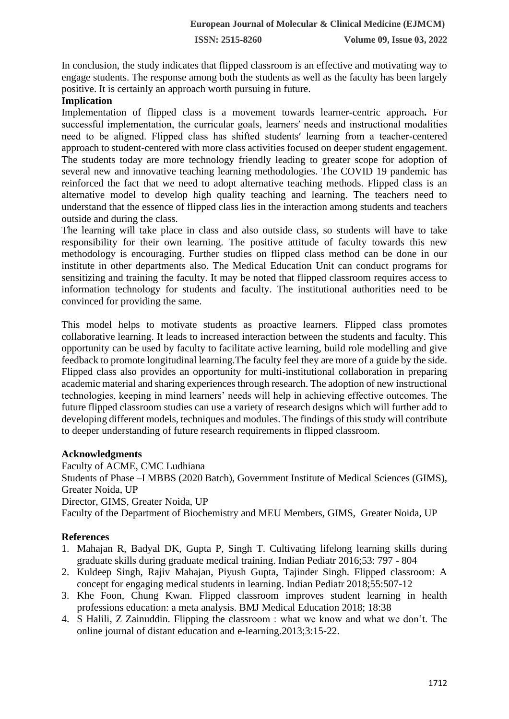**ISSN: 2515-8260 Volume 09, Issue 03, 2022**

In conclusion, the study indicates that flipped classroom is an effective and motivating way to engage students. The response among both the students as well as the faculty has been largely positive. It is certainly an approach worth pursuing in future.

### **Implication**

Implementation of flipped class is a movement towards learner-centric approach**.** For successful implementation, the curricular goals, learners′ needs and instructional modalities need to be aligned. Flipped class has shifted students′ learning from a teacher-centered approach to student-centered with more class activities focused on deeper student engagement. The students today are more technology friendly leading to greater scope for adoption of several new and innovative teaching learning methodologies. The COVID 19 pandemic has reinforced the fact that we need to adopt alternative teaching methods. Flipped class is an alternative model to develop high quality teaching and learning. The teachers need to understand that the essence of flipped class lies in the interaction among students and teachers outside and during the class.

The learning will take place in class and also outside class, so students will have to take responsibility for their own learning. The positive attitude of faculty towards this new methodology is encouraging. Further studies on flipped class method can be done in our institute in other departments also. The Medical Education Unit can conduct programs for sensitizing and training the faculty. It may be noted that flipped classroom requires access to information technology for students and faculty. The institutional authorities need to be convinced for providing the same.

This model helps to motivate students as proactive learners. Flipped class promotes collaborative learning. It leads to increased interaction between the students and faculty. This opportunity can be used by faculty to facilitate active learning, build role modelling and give feedback to promote longitudinal learning.The faculty feel they are more of a guide by the side. Flipped class also provides an opportunity for multi-institutional collaboration in preparing academic material and sharing experiences through research. The adoption of new instructional technologies, keeping in mind learners' needs will help in achieving effective outcomes. The future flipped classroom studies can use a variety of research designs which will further add to developing different models, techniques and modules. The findings of this study will contribute to deeper understanding of future research requirements in flipped classroom.

#### **Acknowledgments**

Faculty of ACME, CMC Ludhiana Students of Phase –I MBBS (2020 Batch), Government Institute of Medical Sciences (GIMS), Greater Noida, UP Director, GIMS, Greater Noida, UP Faculty of the Department of Biochemistry and MEU Members, GIMS, Greater Noida, UP

## **References**

- 1. Mahajan R, Badyal DK, Gupta P, Singh T. Cultivating lifelong learning skills during graduate skills during graduate medical training. Indian Pediatr 2016;53: 797 - 804
- 2. Kuldeep Singh, Rajiv Mahajan, Piyush Gupta, Tajinder Singh. Flipped classroom: A concept for engaging medical students in learning. Indian Pediatr 2018;55:507-12
- 3. Khe Foon, Chung Kwan. Flipped classroom improves student learning in health professions education: a meta analysis. BMJ Medical Education 2018; 18:38
- 4. S Halili, Z Zainuddin. Flipping the classroom : what we know and what we don't. The online journal of distant education and e-learning.2013;3:15-22.